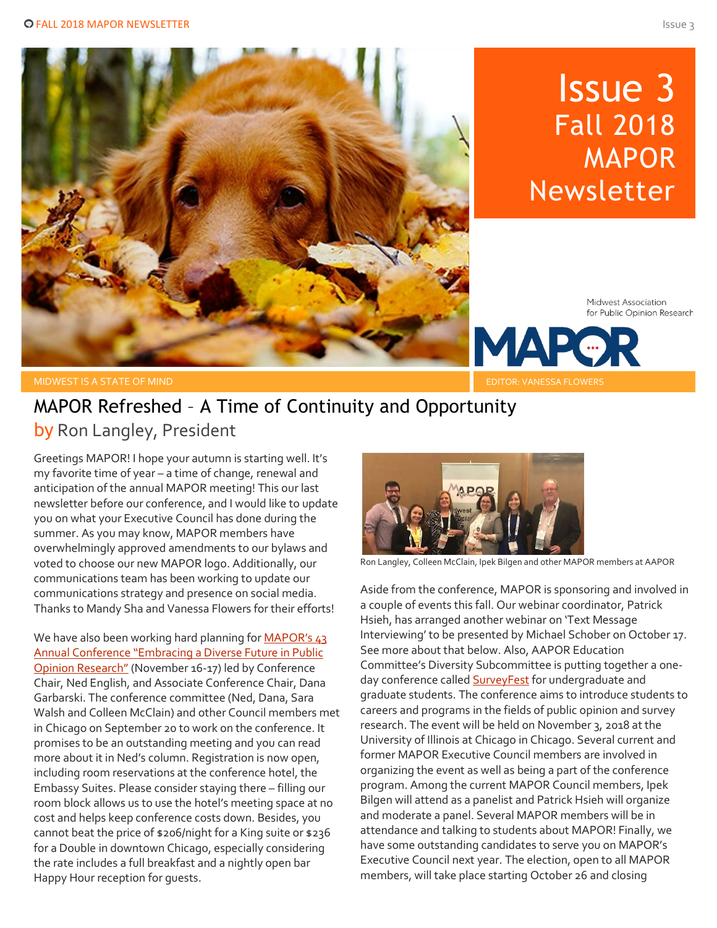

# Issue 3 Fall 2018 **MAPOR** Newsletter

Midwest Association for Public Opinion Research

MIDWEST IS A STATE OF MIND

## MAPOR Refreshed – A Time of Continuity and Opportunity by Ron Langley, President

Greetings MAPOR! I hope your autumn is starting well. It's my favorite time of year – a time of change, renewal and anticipation of the annual MAPOR meeting! This our last newsletter before our conference, and I would like to update you on what your Executive Council has done during the summer. As you may know, MAPOR members have overwhelmingly approved amendments to our bylaws and voted to choose our new MAPOR logo. Additionally, our communications team has been working to update our communications strategy and presence on social media. Thanks to Mandy Sha and Vanessa Flowers for their efforts!

We have also been working hard planning for **MAPOR's 43** [Annual Conference "Embracing a Diverse Future in Public](http://www.mapor.org/2018-annual-conference/)  [Opinion Research"](http://www.mapor.org/2018-annual-conference/) (November 16-17) led by Conference Chair, Ned English, and Associate Conference Chair, Dana Garbarski. The conference committee (Ned, Dana, Sara Walsh and Colleen McClain) and other Council members met in Chicago on September 20 to work on the conference. It promises to be an outstanding meeting and you can read more about it in Ned's column. Registration is now open, including room reservations at the conference hotel, the Embassy Suites. Please consider staying there – filling our room block allows us to use the hotel's meeting space at no cost and helps keep conference costs down. Besides, you cannot beat the price of \$206/night for a King suite or \$236 for a Double in downtown Chicago, especially considering the rate includes a full breakfast and a nightly open bar Happy Hour reception for guests.



Ron Langley, Colleen McClain, Ipek Bilgen and other MAPOR members at AAPOR

Aside from the conference, MAPOR is sponsoring and involved in a couple of events this fall. Our webinar coordinator, Patrick Hsieh, has arranged another webinar on 'Text Message Interviewing' to be presented by Michael Schober on October 17. See more about that below. Also, AAPOR Education Committee's Diversity Subcommittee is putting together a oneday conference called **SurveyFest** for undergraduate and graduate students. The conference aims to introduce students to careers and programs in the fields of public opinion and survey research. The event will be held on November 3, 2018 at the University of Illinois at Chicago in Chicago. Several current and former MAPOR Executive Council members are involved in organizing the event as well as being a part of the conference program. Among the current MAPOR Council members, Ipek Bilgen will attend as a panelist and Patrick Hsieh will organize and moderate a panel. Several MAPOR members will be in attendance and talking to students about MAPOR! Finally, we have some outstanding candidates to serve you on MAPOR's Executive Council next year. The election, open to all MAPOR members, will take place starting October 26 and closing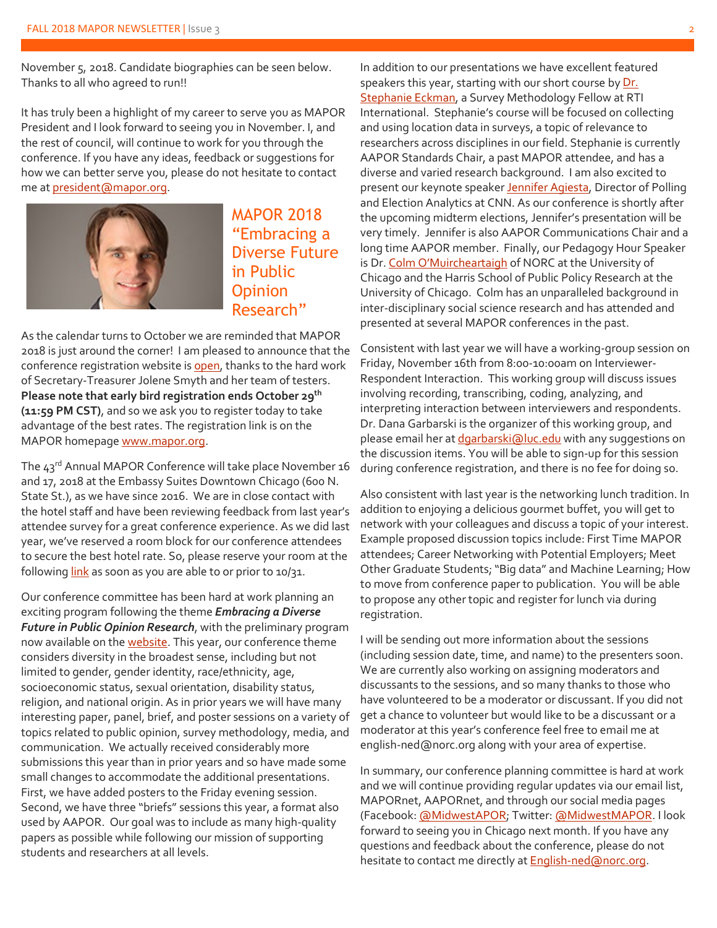November 5, 2018. Candidate biographies can be seen below. Thanks to all who agreed to run!!

It has truly been a highlight of my career to serve you as MAPOR President and I look forward to seeing you in November. I, and the rest of council, will continue to work for you through the conference. If you have any ideas, feedback or suggestions for how we can better serve you, please do not hesitate to contact me at [president@mapor.org.](mailto:president@mapor.org)



MAPOR 2018 "Embracing a Diverse Future in Public **Opinion** Research"

As the calendar turns to October we are reminded that MAPOR 2018 is just around the corner! I am pleased to announce that the conference registration website is [open,](http://www.cvent.com/events/2018-mapor-conference/event-summary-9237f15468144c66bbe1ff5486a41fcc.aspx) thanks to the hard work of Secretary-Treasurer Jolene Smyth and her team of testers. **Please note that early bird registration ends October 29th (11:59 PM CST)**, and so we ask you to register today to take advantage of the best rates. The registration link is on the MAPOR homepage [www.mapor.org.](http://www.mapor.org/)

The  $43^{rd}$  Annual MAPOR Conference will take place November 16 and 17, 2018 at the Embassy Suites Downtown Chicago (600 N. State St.), as we have since 2016. We are in close contact with the hotel staff and have been reviewing feedback from last year's attendee survey for a great conference experience. As we did last year, we've reserved a room block for our conference attendees to secure the best hotel rate. So, please reserve your room at the followin[g link](https://embassysuites.hilton.com/en/es/groups/personalized/C/CHIDWES-M18-20181115/index.jhtml?WT.mc_id=POG) as soon as you are able to or prior to 10/31.

Our conference committee has been hard at work planning an exciting program following the theme *Embracing a Diverse Future in Public Opinion Research*, with the preliminary program now available on th[e website.](http://www.mapor.org/confdocs/MAPOR_2018_Program_Draft.pdf) This year, our conference theme considers diversity in the broadest sense, including but not limited to gender, gender identity, race/ethnicity, age, socioeconomic status, sexual orientation, disability status, religion, and national origin. As in prior years we will have many interesting paper, panel, brief, and poster sessions on a variety of topics related to public opinion, survey methodology, media, and communication. We actually received considerably more submissions this year than in prior years and so have made some small changes to accommodate the additional presentations. First, we have added posters to the Friday evening session. Second, we have three "briefs" sessions this year, a format also used by AAPOR. Our goal was to include as many high-quality papers as possible while following our mission of supporting students and researchers at all levels.

In addition to our presentations we have excellent featured speakers this year, starting with our short course by Dr. [Stephanie Eckman,](https://www.rti.org/expert/stephanie-eckman) a Survey Methodology Fellow at RTI International. Stephanie's course will be focused on collecting and using location data in surveys, a topic of relevance to researchers across disciplines in our field. Stephanie is currently AAPOR Standards Chair, a past MAPOR attendee, and has a diverse and varied research background. I am also excited to present our keynote speake[r Jennifer Agiesta,](https://www.cnn.com/profiles/jennifer-agiesta) Director of Polling and Election Analytics at CNN. As our conference is shortly after the upcoming midterm elections, Jennifer's presentation will be very timely. Jennifer is also AAPOR Communications Chair and a long time AAPOR member. Finally, our Pedagogy Hour Speaker is Dr[. Colm O'Muircheartaigh](https://harris.uchicago.edu/directory/colm-omuircheartaigh) of NORC at the University of Chicago and the Harris School of Public Policy Research at the University of Chicago. Colm has an unparalleled background in inter-disciplinary social science research and has attended and presented at several MAPOR conferences in the past.

Consistent with last year we will have a working-group session on Friday, November 16th from 8:00-10:00am on Interviewer-Respondent Interaction. This working group will discuss issues involving recording, transcribing, coding, analyzing, and interpreting interaction between interviewers and respondents. Dr. Dana Garbarski is the organizer of this working group, and please email her a[t dgarbarski@luc.edu](mailto:dgarbarski@luc.edu) with any suggestions on the discussion items. You will be able to sign-up for this session during conference registration, and there is no fee for doing so.

Also consistent with last year is the networking lunch tradition. In addition to enjoying a delicious gourmet buffet, you will get to network with your colleagues and discuss a topic of your interest. Example proposed discussion topics include: First Time MAPOR attendees; Career Networking with Potential Employers; Meet Other Graduate Students; "Big data" and Machine Learning; How to move from conference paper to publication. You will be able to propose any other topic and register for lunch via during registration.

I will be sending out more information about the sessions (including session date, time, and name) to the presenters soon. We are currently also working on assigning moderators and discussants to the sessions, and so many thanks to those who have volunteered to be a moderator or discussant. If you did not get a chance to volunteer but would like to be a discussant or a moderator at this year's conference feel free to email me at english-ned@norc.org along with your area of expertise.

In summary, our conference planning committee is hard at work and we will continue providing regular updates via our email list, MAPORnet, AAPORnet, and through our social media pages (Facebook[: @MidwestAPOR;](https://www.facebook.com/MidwestAPOR/) Twitter: [@MidwestMAPOR.](https://twitter.com/midwestmapor) I look forward to seeing you in Chicago next month. If you have any questions and feedback about the conference, please do not hesitate to contact me directly at **English-ned@norc.org**.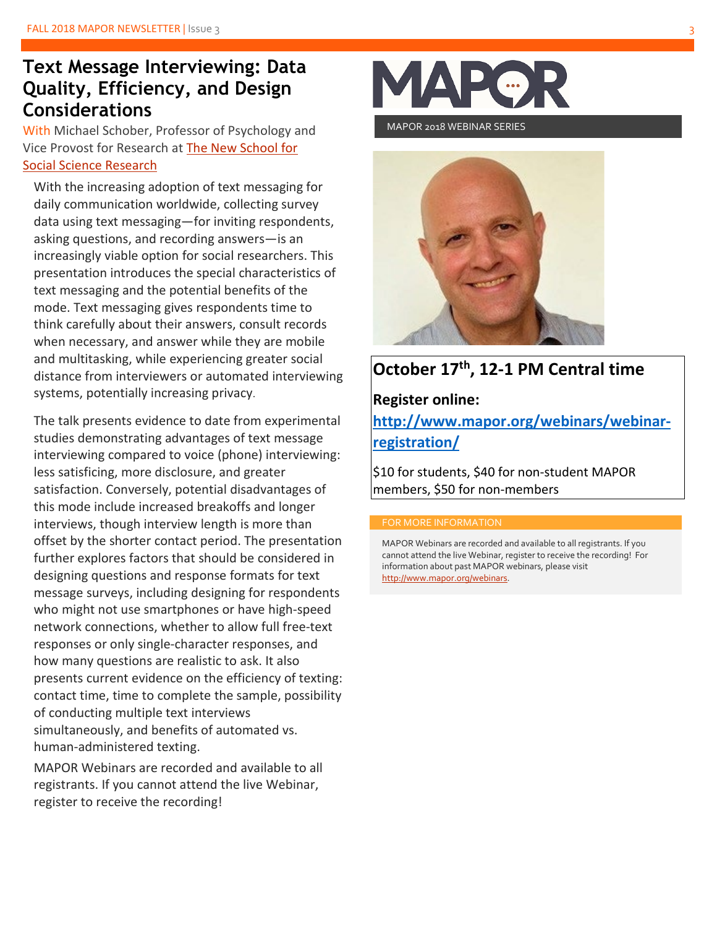## **Text Message Interviewing: Data Quality, Efficiency, and Design Considerations**

With Michael Schober, Professor of Psychology and Vice Provost for Research at [The New School for](https://www.newschool.edu/nssr)  [Social Science Research](https://www.newschool.edu/nssr)

With the increasing adoption of text messaging for daily communication worldwide, collecting survey data using text messaging—for inviting respondents, asking questions, and recording answers—is an increasingly viable option for social researchers. This presentation introduces the special characteristics of text messaging and the potential benefits of the mode. Text messaging gives respondents time to think carefully about their answers, consult records when necessary, and answer while they are mobile and multitasking, while experiencing greater social distance from interviewers or automated interviewing systems, potentially increasing privacy.

The talk presents evidence to date from experimental studies demonstrating advantages of text message interviewing compared to voice (phone) interviewing: less satisficing, more disclosure, and greater satisfaction. Conversely, potential disadvantages of this mode include increased breakoffs and longer interviews, though interview length is more than offset by the shorter contact period. The presentation further explores factors that should be considered in designing questions and response formats for text message surveys, including designing for respondents who might not use smartphones or have high-speed network connections, whether to allow full free-text responses or only single-character responses, and how many questions are realistic to ask. It also presents current evidence on the efficiency of texting: contact time, time to complete the sample, possibility of conducting multiple text interviews simultaneously, and benefits of automated vs. human-administered texting.

MAPOR Webinars are recorded and available to all registrants. If you cannot attend the live Webinar, register to receive the recording!



MAPOR 2018 WEBINAR SERIES



## **October 17th, 12-1 PM Central time**

#### **Register online:**

**http://www.mapor.org/webinars/webinarregistration/**

\$10 for students, \$40 for non-student MAPOR members, \$50 for non-members

MAPOR Webinars are recorded and available to all registrants. If you cannot attend the live Webinar, register to receive the recording! For information about past MAPOR webinars, please visit [http://www.mapor.org/webinars.](http://www.mapor.org/webinars)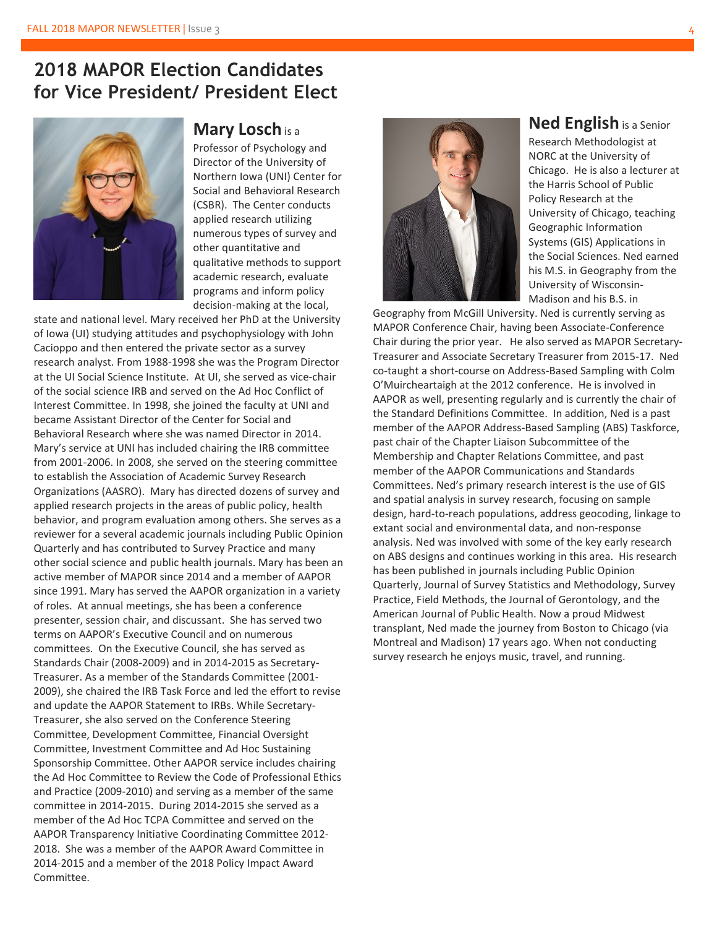## **2018 MAPOR Election Candidates for Vice President/ President Elect**



#### **Mary Losch** is <sup>a</sup>

Professor of Psychology and Director of the University of Northern Iowa (UNI) Center for Social and Behavioral Research (CSBR). The Center conducts applied research utilizing numerous types of survey and other quantitative and qualitative methods to support academic research, evaluate programs and inform policy decision-making at the local,

state and national level. Mary received her PhD at the University of Iowa (UI) studying attitudes and psychophysiology with John Cacioppo and then entered the private sector as a survey research analyst. From 1988-1998 she was the Program Director at the UI Social Science Institute. At UI, she served as vice-chair of the social science IRB and served on the Ad Hoc Conflict of Interest Committee. In 1998, she joined the faculty at UNI and became Assistant Director of the Center for Social and Behavioral Research where she was named Director in 2014. Mary's service at UNI has included chairing the IRB committee from 2001-2006. In 2008, she served on the steering committee to establish the Association of Academic Survey Research Organizations (AASRO). Mary has directed dozens of survey and applied research projects in the areas of public policy, health behavior, and program evaluation among others. She serves as a reviewer for a several academic journals including Public Opinion Quarterly and has contributed to Survey Practice and many other social science and public health journals. Mary has been an active member of MAPOR since 2014 and a member of AAPOR since 1991. Mary has served the AAPOR organization in a variety of roles. At annual meetings, she has been a conference presenter, session chair, and discussant. She has served two terms on AAPOR's Executive Council and on numerous committees. On the Executive Council, she has served as Standards Chair (2008-2009) and in 2014-2015 as Secretary-Treasurer. As a member of the Standards Committee (2001- 2009), she chaired the IRB Task Force and led the effort to revise and update the AAPOR Statement to IRBs. While Secretary-Treasurer, she also served on the Conference Steering Committee, Development Committee, Financial Oversight Committee, Investment Committee and Ad Hoc Sustaining Sponsorship Committee. Other AAPOR service includes chairing the Ad Hoc Committee to Review the Code of Professional Ethics and Practice (2009-2010) and serving as a member of the same committee in 2014-2015. During 2014-2015 she served as a member of the Ad Hoc TCPA Committee and served on the AAPOR Transparency Initiative Coordinating Committee 2012- 2018. She was a member of the AAPOR Award Committee in 2014-2015 and a member of the 2018 Policy Impact Award Committee.



**Ned English** is a Senior

Research Methodologist at NORC at the University of Chicago. He is also a lecturer at the Harris School of Public Policy Research at the University of Chicago, teaching Geographic Information Systems (GIS) Applications in the Social Sciences. Ned earned his M.S. in Geography from the University of Wisconsin-Madison and his B.S. in

Geography from McGill University. Ned is currently serving as MAPOR Conference Chair, having been Associate-Conference Chair during the prior year. He also served as MAPOR Secretary-Treasurer and Associate Secretary Treasurer from 2015-17. Ned co-taught a short-course on Address-Based Sampling with Colm O'Muircheartaigh at the 2012 conference. He is involved in AAPOR as well, presenting regularly and is currently the chair of the Standard Definitions Committee. In addition, Ned is a past member of the AAPOR Address-Based Sampling (ABS) Taskforce, past chair of the Chapter Liaison Subcommittee of the Membership and Chapter Relations Committee, and past member of the AAPOR Communications and Standards Committees. Ned's primary research interest is the use of GIS and spatial analysis in survey research, focusing on sample design, hard-to-reach populations, address geocoding, linkage to extant social and environmental data, and non-response analysis. Ned was involved with some of the key early research on ABS designs and continues working in this area. His research has been published in journals including Public Opinion Quarterly, Journal of Survey Statistics and Methodology, Survey Practice, Field Methods, the Journal of Gerontology, and the American Journal of Public Health. Now a proud Midwest transplant, Ned made the journey from Boston to Chicago (via Montreal and Madison) 17 years ago. When not conducting survey research he enjoys music, travel, and running.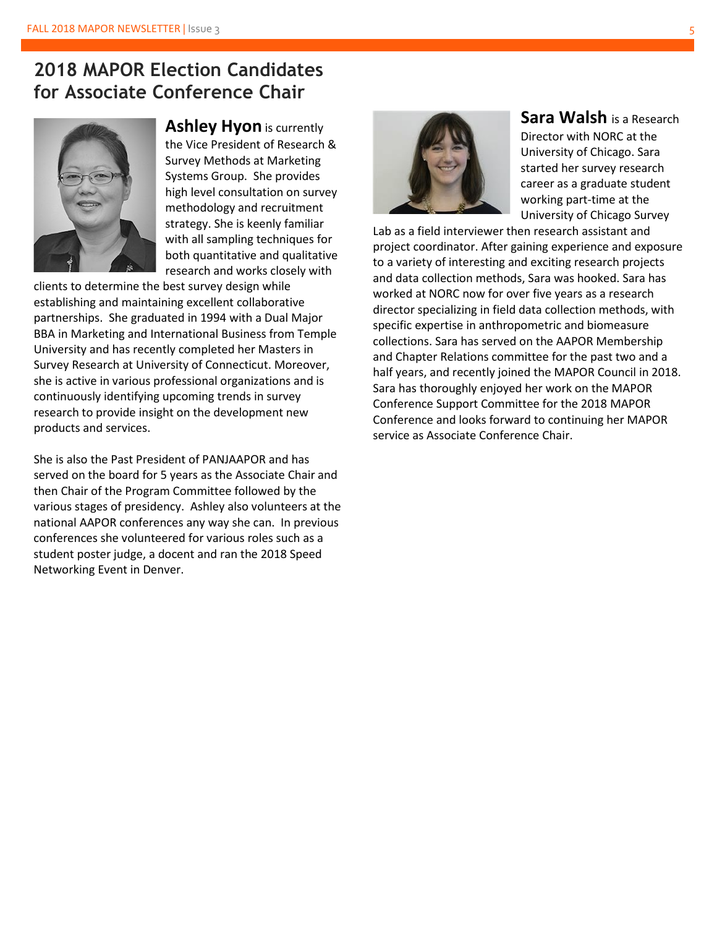## **2018 MAPOR Election Candidates for Associate Conference Chair**



**Ashley Hyon** is currently the Vice President of Research & Survey Methods at Marketing Systems Group. She provides high level consultation on survey methodology and recruitment strategy. She is keenly familiar with all sampling techniques for both quantitative and qualitative research and works closely with

clients to determine the best survey design while establishing and maintaining excellent collaborative partnerships. She graduated in 1994 with a Dual Major BBA in Marketing and International Business from Temple University and has recently completed her Masters in Survey Research at University of Connecticut. Moreover, she is active in various professional organizations and is continuously identifying upcoming trends in survey research to provide insight on the development new products and services.

She is also the Past President of PANJAAPOR and has served on the board for 5 years as the Associate Chair and then Chair of the Program Committee followed by the various stages of presidency. Ashley also volunteers at the national AAPOR conferences any way she can. In previous conferences she volunteered for various roles such as a student poster judge, a docent and ran the 2018 Speed Networking Event in Denver.



**Sara Walsh** is a Research Director with NORC at the University of Chicago. Sara started her survey research career as a graduate student working part-time at the University of Chicago Survey

Lab as a field interviewer then research assistant and project coordinator. After gaining experience and exposure to a variety of interesting and exciting research projects and data collection methods, Sara was hooked. Sara has worked at NORC now for over five years as a research director specializing in field data collection methods, with specific expertise in anthropometric and biomeasure collections. Sara has served on the AAPOR Membership and Chapter Relations committee for the past two and a half years, and recently joined the MAPOR Council in 2018. Sara has thoroughly enjoyed her work on the MAPOR Conference Support Committee for the 2018 MAPOR Conference and looks forward to continuing her MAPOR service as Associate Conference Chair.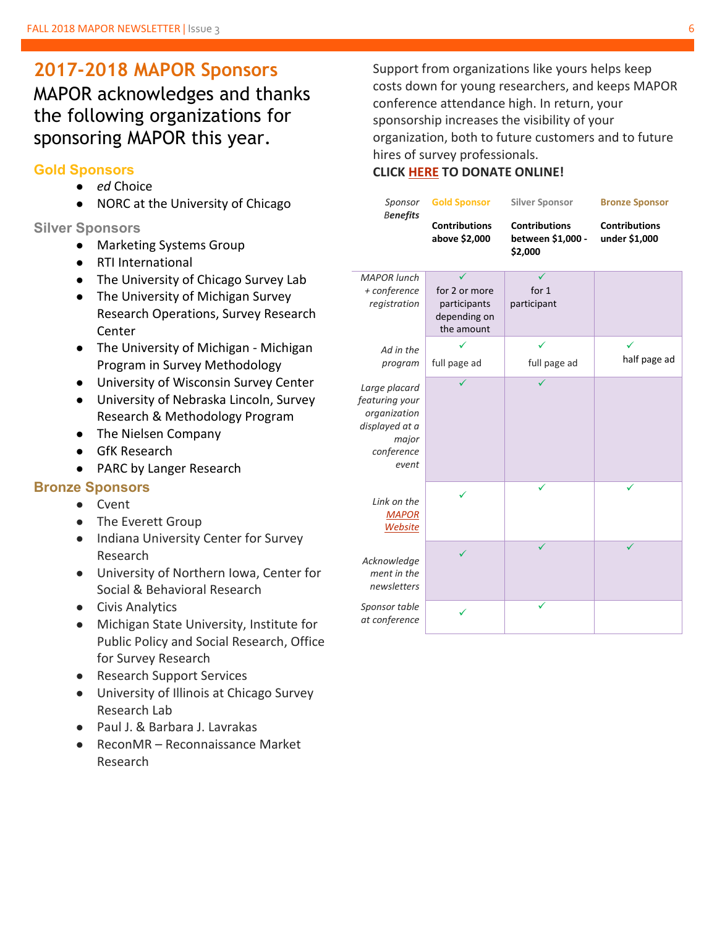## **2017-2018 MAPOR Sponsors**

MAPOR acknowledges and thanks the following organizations for sponsoring MAPOR this year.

#### **Gold Sponsors**

- *ed* Choice
- NORC at the University of Chicago

#### **Silver Sponsors**

- Marketing Systems Group
- RTI International
- The University of Chicago Survey Lab
- The University of Michigan Survey Research Operations, Survey Research Center
- The University of Michigan Michigan Program in Survey Methodology
- University of Wisconsin Survey Center
- University of Nebraska Lincoln, Survey Research & Methodology Program
- The Nielsen Company
- GfK Research
- PARC by Langer Research

#### **Bronze Sponsors**

- Cvent
- The Everett Group
- Indiana University Center for Survey Research
- University of Northern Iowa, Center for Social & Behavioral Research
- Civis Analytics
- Michigan State University, Institute for Public Policy and Social Research, Office for Survey Research
- Research Support Services
- University of Illinois at Chicago Survey Research Lab
- Paul J. & Barbara J. Lavrakas
- ReconMR Reconnaissance Market Research

Support from organizations like yours helps keep costs down for young researchers, and keeps MAPOR conference attendance high. In return, your sponsorship increases the visibility of your organization, both to future customers and to future hires of survey professionals.

#### **CLICK [HERE](http://www.mapor.org/sponsorship/) TO DONATE ONLINE!**

| Sponsor                                                                                           | <b>Gold Sponsor</b>                                         | <b>Silver Sponsor</b>                                | <b>Bronze Sponsor</b>                 |
|---------------------------------------------------------------------------------------------------|-------------------------------------------------------------|------------------------------------------------------|---------------------------------------|
| <b>Benefits</b>                                                                                   | <b>Contributions</b><br>above \$2,000                       | <b>Contributions</b><br>between \$1,000 -<br>\$2,000 | <b>Contributions</b><br>under \$1,000 |
| <b>MAPOR</b> lunch<br>+ conference<br>registration                                                | for 2 or more<br>participants<br>depending on<br>the amount | for $1$<br>participant                               |                                       |
| Ad in the<br>program                                                                              | full page ad                                                | full page ad                                         | half page ad                          |
| Large placard<br>featuring your<br>organization<br>displayed at a<br>major<br>conference<br>event |                                                             |                                                      |                                       |
| Link on the<br><b>MAPOR</b><br><b>Website</b>                                                     |                                                             | ✓                                                    |                                       |
| Acknowledge<br>ment in the<br>newsletters                                                         |                                                             |                                                      |                                       |
| Sponsor table<br>at conference                                                                    |                                                             |                                                      |                                       |